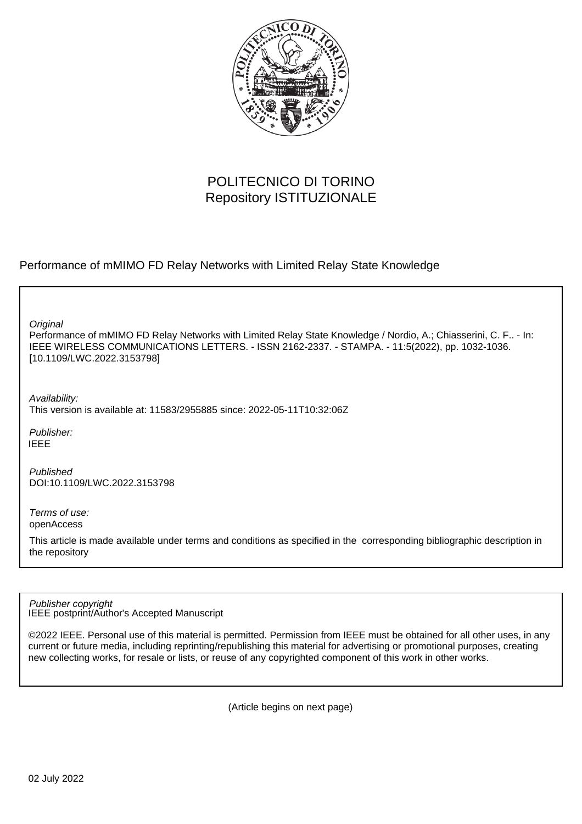

# POLITECNICO DI TORINO Repository ISTITUZIONALE

Performance of mMIMO FD Relay Networks with Limited Relay State Knowledge

**Original** 

Performance of mMIMO FD Relay Networks with Limited Relay State Knowledge / Nordio, A.; Chiasserini, C. F.. - In: IEEE WIRELESS COMMUNICATIONS LETTERS. - ISSN 2162-2337. - STAMPA. - 11:5(2022), pp. 1032-1036. [10.1109/LWC.2022.3153798]

Availability: This version is available at: 11583/2955885 since: 2022-05-11T10:32:06Z

Publisher: IEEE

Published DOI:10.1109/LWC.2022.3153798

Terms of use: openAccess

This article is made available under terms and conditions as specified in the corresponding bibliographic description in the repository

IEEE postprint/Author's Accepted Manuscript Publisher copyright

©2022 IEEE. Personal use of this material is permitted. Permission from IEEE must be obtained for all other uses, in any current or future media, including reprinting/republishing this material for advertising or promotional purposes, creating new collecting works, for resale or lists, or reuse of any copyrighted component of this work in other works.

(Article begins on next page)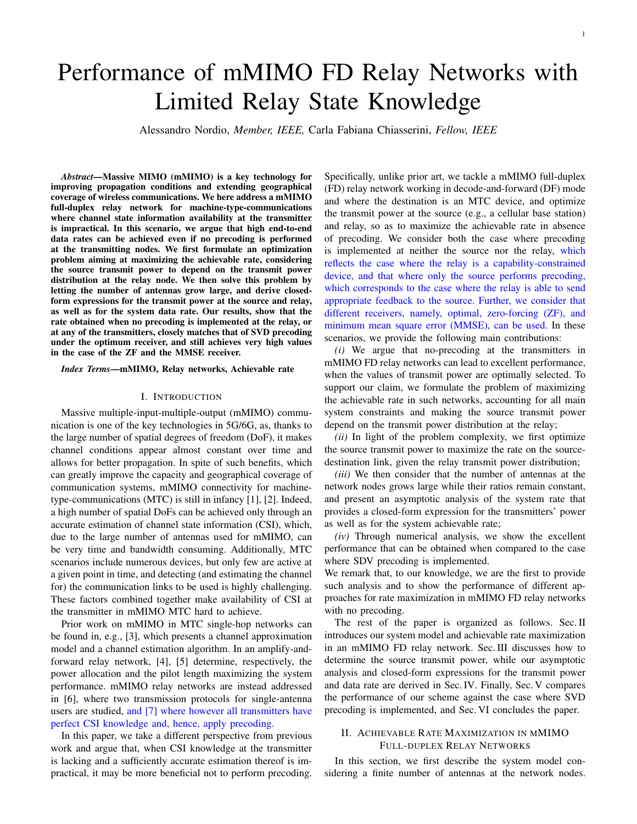# Performance of mMIMO FD Relay Networks with Limited Relay State Knowledge

Alessandro Nordio, *Member, IEEE,* Carla Fabiana Chiasserini, *Fellow, IEEE*

*Abstract*—Massive MIMO (mMIMO) is a key technology for improving propagation conditions and extending geographical coverage of wireless communications. We here address a mMIMO full-duplex relay network for machine-type-communications where channel state information availability at the transmitter is impractical. In this scenario, we argue that high end-to-end data rates can be achieved even if no precoding is performed at the transmitting nodes. We first formulate an optimization problem aiming at maximizing the achievable rate, considering the source transmit power to depend on the transmit power distribution at the relay node. We then solve this problem by letting the number of antennas grow large, and derive closedform expressions for the transmit power at the source and relay, as well as for the system data rate. Our results, show that the rate obtained when no precoding is implemented at the relay, or at any of the transmitters, closely matches that of SVD precoding under the optimum receiver, and still achieves very high values in the case of the ZF and the MMSE receiver.

*Index Terms*—mMIMO, Relay networks, Achievable rate

#### I. INTRODUCTION

Massive multiple-input-multiple-output (mMIMO) communication is one of the key technologies in 5G/6G, as, thanks to the large number of spatial degrees of freedom (DoF), it makes channel conditions appear almost constant over time and allows for better propagation. In spite of such benefits, which can greatly improve the capacity and geographical coverage of communication systems, mMIMO connectivity for machinetype-communications (MTC) is still in infancy [1], [2]. Indeed, a high number of spatial DoFs can be achieved only through an accurate estimation of channel state information (CSI), which, due to the large number of antennas used for mMIMO, can be very time and bandwidth consuming. Additionally, MTC scenarios include numerous devices, but only few are active at a given point in time, and detecting (and estimating the channel for) the communication links to be used is highly challenging. These factors combined together make availability of CSI at the transmitter in mMIMO MTC hard to achieve.

Prior work on mMIMO in MTC single-hop networks can be found in, e.g., [3], which presents a channel approximation model and a channel estimation algorithm. In an amplify-andforward relay network, [4], [5] determine, respectively, the power allocation and the pilot length maximizing the system performance. mMIMO relay networks are instead addressed in [6], where two transmission protocols for single-antenna users are studied, and [7] where however all transmitters have perfect CSI knowledge and, hence, apply precoding.

In this paper, we take a different perspective from previous work and argue that, when CSI knowledge at the transmitter is lacking and a sufficiently accurate estimation thereof is impractical, it may be more beneficial not to perform precoding. Specifically, unlike prior art, we tackle a mMIMO full-duplex (FD) relay network working in decode-and-forward (DF) mode and where the destination is an MTC device, and optimize the transmit power at the source (e.g., a cellular base station) and relay, so as to maximize the achievable rate in absence of precoding. We consider both the case where precoding is implemented at neither the source nor the relay, which reflects the case where the relay is a capability-constrained device, and that where only the source performs precoding, which corresponds to the case where the relay is able to send appropriate feedback to the source. Further, we consider that different receivers, namely, optimal, zero-forcing (ZF), and minimum mean square error (MMSE), can be used. In these scenarios, we provide the following main contributions:

*(i)* We argue that no-precoding at the transmitters in mMIMO FD relay networks can lead to excellent performance, when the values of transmit power are optimally selected. To support our claim, we formulate the problem of maximizing the achievable rate in such networks, accounting for all main system constraints and making the source transmit power depend on the transmit power distribution at the relay;

*(ii)* In light of the problem complexity, we first optimize the source transmit power to maximize the rate on the sourcedestination link, given the relay transmit power distribution;

*(iii)* We then consider that the number of antennas at the network nodes grows large while their ratios remain constant, and present an asymptotic analysis of the system rate that provides a closed-form expression for the transmitters' power as well as for the system achievable rate;

*(iv)* Through numerical analysis, we show the excellent performance that can be obtained when compared to the case where SDV precoding is implemented.

We remark that, to our knowledge, we are the first to provide such analysis and to show the performance of different approaches for rate maximization in mMIMO FD relay networks with no precoding.

The rest of the paper is organized as follows. Sec. II introduces our system model and achievable rate maximization in an mMIMO FD relay network. Sec. III discusses how to determine the source transmit power, while our asymptotic analysis and closed-form expressions for the transmit power and data rate are derived in Sec. IV. Finally, Sec. V compares the performance of our scheme against the case where SVD precoding is implemented, and Sec. VI concludes the paper.

# II. ACHIEVABLE RATE MAXIMIZATION IN MMIMO FULL-DUPLEX RELAY NETWORKS

In this section, we first describe the system model considering a finite number of antennas at the network nodes.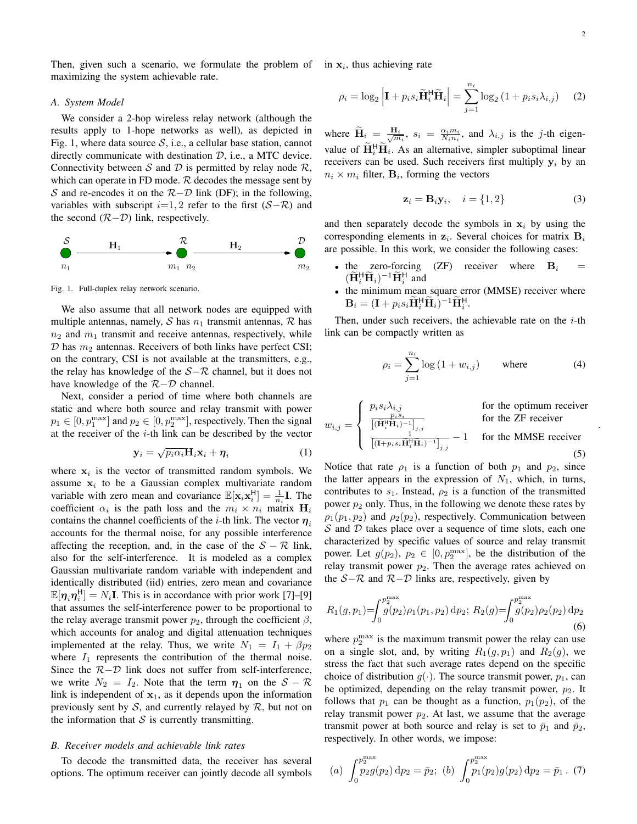.

Then, given such a scenario, we formulate the problem of in  $x_i$ , thus achieving rate maximizing the system achievable rate.

#### *A. System Model*

We consider a 2-hop wireless relay network (although the results apply to 1-hope networks as well), as depicted in Fig. 1, where data source  $S$ , i.e., a cellular base station, cannot directly communicate with destination  $D$ , i.e., a MTC device. Connectivity between S and D is permitted by relay node  $\mathcal{R}$ , which can operate in FD mode.  $R$  decodes the message sent by S and re-encodes it on the  $R-D$  link (DF); in the following, variables with subscript  $i=1, 2$  refer to the first  $(S-\mathcal{R})$  and the second  $(R-D)$  link, respectively.



Fig. 1. Full-duplex relay network scenario.

We also assume that all network nodes are equipped with multiple antennas, namely, S has  $n_1$  transmit antennas, R has  $n_2$  and  $m_1$  transmit and receive antennas, respectively, while  $D$  has  $m_2$  antennas. Receivers of both links have perfect CSI; on the contrary, CSI is not available at the transmitters, e.g., the relay has knowledge of the  $S-\mathcal{R}$  channel, but it does not have knowledge of the  $R-D$  channel.

Next, consider a period of time where both channels are static and where both source and relay transmit with power  $p_1 \in [0, p_1^{\text{max}}]$  and  $p_2 \in [0, p_2^{\text{max}}]$ , respectively. Then the signal at the receiver of the  $i$ -th link can be described by the vector

$$
\mathbf{y}_i = \sqrt{p_i \alpha_i} \mathbf{H}_i \mathbf{x}_i + \boldsymbol{\eta}_i \tag{1}
$$

where  $x_i$  is the vector of transmitted random symbols. We assume  $x_i$  to be a Gaussian complex multivariate random variable with zero mean and covariance  $\mathbb{E}[\mathbf{x}_i \mathbf{x}_i^{\mathsf{H}}] = \frac{1}{n_i} \mathbf{I}$ . The coefficient  $\alpha_i$  is the path loss and the  $m_i \times n_i$  matrix  $H_i$ contains the channel coefficients of the *i*-th link. The vector  $\eta_i$ accounts for the thermal noise, for any possible interference affecting the reception, and, in the case of the  $S - \mathcal{R}$  link, also for the self-interference. It is modeled as a complex Gaussian multivariate random variable with independent and identically distributed (iid) entries, zero mean and covariance  $\mathbb{E}[\eta_i \eta_i^{\text{H}}] = N_i \mathbf{I}$ . This is in accordance with prior work [7]–[9] that assumes the self-interference power to be proportional to the relay average transmit power  $p_2$ , through the coefficient  $\beta$ , which accounts for analog and digital attenuation techniques implemented at the relay. Thus, we write  $N_1 = I_1 + \beta p_2$ where  $I_1$  represents the contribution of the thermal noise. Since the  $R-D$  link does not suffer from self-interference, we write  $N_2 = I_2$ . Note that the term  $\eta_1$  on the  $S - \mathcal{R}$ link is independent of  $x_1$ , as it depends upon the information previously sent by S, and currently relayed by R, but not on the information that  $S$  is currently transmitting.

#### *B. Receiver models and achievable link rates*

To decode the transmitted data, the receiver has several options. The optimum receiver can jointly decode all symbols

$$
\rho_i = \log_2 \left| \mathbf{I} + p_i s_i \widetilde{\mathbf{H}}_i^{\mathsf{H}} \widetilde{\mathbf{H}}_i \right| = \sum_{j=1}^{n_i} \log_2 \left( 1 + p_i s_i \lambda_{i,j} \right) \tag{2}
$$

where  $\widetilde{H}_i = \frac{H_i}{\sqrt{m_i}}$ ,  $s_i = \frac{\alpha_i m_i}{N_i n_i}$ , and  $\lambda_{i,j}$  is the j-th eigenvalue of  $\tilde{H}_i^H \tilde{H}_i$ . As an alternative, simpler suboptimal linear receivers can be used. Such receivers first multiply  $y_i$  by an  $n_i \times m_i$  filter,  $\mathbf{B}_i$ , forming the vectors

$$
\mathbf{z}_i = \mathbf{B}_i \mathbf{y}_i, \quad i = \{1, 2\} \tag{3}
$$

and then separately decode the symbols in  $x_i$  by using the corresponding elements in  $z_i$ . Several choices for matrix  $B_i$ are possible. In this work, we consider the following cases:

- the zero-forcing (ZF) receiver where  $B_i$  =  $(\widetilde{\mathbf{H}}_i^{\mathsf{H}} \widetilde{\mathbf{H}}_i)^{-1} \widetilde{\mathbf{H}}_i^{\mathsf{H}}$  and
- the minimum mean square error (MMSE) receiver where  $\mathbf{B}_i = (\mathbf{I} + p_i s_i \tilde{\mathbf{H}}_i^{\mathsf{H}} \tilde{\mathbf{H}}_i)^{-1} \tilde{\mathbf{H}}_i^{\mathsf{H}}.$

Then, under such receivers, the achievable rate on the  $i$ -th link can be compactly written as

$$
\rho_i = \sum_{j=1}^{n_i} \log \left( 1 + w_{i,j} \right) \quad \text{where} \quad (4)
$$

$$
w_{i,j} = \begin{cases} p_i s_i \lambda_{i,j} & \text{for the optimum receiver} \\ \frac{p_i s_i}{[(\tilde{\mathbf{H}}_i^{\text{H}} \tilde{\mathbf{H}}_i)^{-1}]_{j,j}} & \text{for the ZF receiver} \\ \frac{1}{[(\mathbf{H} + p_i s_i \tilde{\mathbf{H}}_i^{\text{H}} \tilde{\mathbf{H}}_i)^{-1}]_{j,j}} - 1 & \text{for the MMSE receiver} \end{cases}
$$
(5)

Notice that rate  $\rho_1$  is a function of both  $p_1$  and  $p_2$ , since the latter appears in the expression of  $N_1$ , which, in turns, contributes to  $s_1$ . Instead,  $\rho_2$  is a function of the transmitted power  $p_2$  only. Thus, in the following we denote these rates by  $\rho_1(p_1, p_2)$  and  $\rho_2(p_2)$ , respectively. Communication between  $S$  and  $D$  takes place over a sequence of time slots, each one characterized by specific values of source and relay transmit power. Let  $g(p_2)$ ,  $p_2 \in [0, p_2^{\max}]$ , be the distribution of the relay transmit power  $p_2$ . Then the average rates achieved on the  $S-R$  and  $R-D$  links are, respectively, given by

$$
R_1(g, p_1) = \int_0^{p_2^{\text{max}}} g(p_2) \rho_1(p_1, p_2) \, \mathrm{d}p_2; \ R_2(g) = \int_0^{p_2^{\text{max}}} g(p_2) \rho_2(p_2) \, \mathrm{d}p_2 \tag{6}
$$

where  $p_2^{\max}$  is the maximum transmit power the relay can use on a single slot, and, by writing  $R_1(g, p_1)$  and  $R_2(g)$ , we stress the fact that such average rates depend on the specific choice of distribution  $g(\cdot)$ . The source transmit power,  $p_1$ , can be optimized, depending on the relay transmit power,  $p_2$ . It follows that  $p_1$  can be thought as a function,  $p_1(p_2)$ , of the relay transmit power  $p_2$ . At last, we assume that the average transmit power at both source and relay is set to  $\bar{p}_1$  and  $\bar{p}_2$ , respectively. In other words, we impose:

(a) 
$$
\int_0^{p_2^{\text{max}}} p_2 g(p_2) dp_2 = \bar{p}_2
$$
; (b)  $\int_0^{p_2^{\text{max}}} p_1(p_2) g(p_2) dp_2 = \bar{p}_1$ . (7)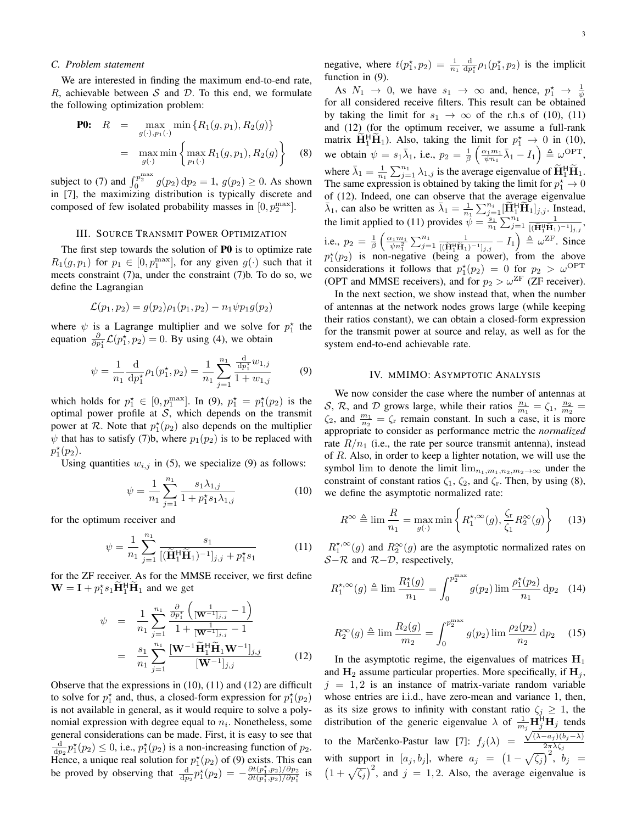#### *C. Problem statement*

We are interested in finding the maximum end-to-end rate, R, achievable between S and D. To this end, we formulate the following optimization problem:

**P0:** 
$$
R = \max_{g(\cdot), p_1(\cdot)} \min \{R_1(g, p_1), R_2(g)\}
$$
  

$$
= \max_{g(\cdot)} \min \{ \max_{p_1(\cdot)} R_1(g, p_1), R_2(g) \} \qquad (8)
$$

subject to (7) and  $\int_0^{p_2^{\text{max}}} g(p_2) dp_2 = 1$ ,  $g(p_2) \ge 0$ . As shown in [7], the maximizing distribution is typically discrete and composed of few isolated probability masses in  $[0, p_2^{\text{max}}]$ .

### III. SOURCE TRANSMIT POWER OPTIMIZATION

The first step towards the solution of P0 is to optimize rate  $R_1(g, p_1)$  for  $p_1 \in [0, p_1^{\text{max}}]$ , for any given  $g(\cdot)$  such that it meets constraint (7)a, under the constraint (7)b. To do so, we define the Lagrangian

$$
\mathcal{L}(p_1, p_2) = g(p_2)\rho_1(p_1, p_2) - n_1 \psi p_1 g(p_2)
$$

where  $\psi$  is a Lagrange multiplier and we solve for  $p_1^*$  the equation  $\frac{\partial}{\partial p_1^*}\mathcal{L}(p_1^*, p_2) = 0$ . By using (4), we obtain

$$
\psi = \frac{1}{n_1} \frac{d}{dp_1^*} \rho_1(p_1^*, p_2) = \frac{1}{n_1} \sum_{j=1}^{n_1} \frac{\frac{d}{dp_1^*} w_{1,j}}{1 + w_{1,j}}
$$
(9)

which holds for  $p_1^* \in [0, p_1^{\max}]$ . In (9),  $p_1^* = p_1^*(p_2)$  is the optimal power profile at  $S$ , which depends on the transmit power at R. Note that  $p_1^{\star}(p_2)$  also depends on the multiplier  $\psi$  that has to satisfy (7)b, where  $p_1(p_2)$  is to be replaced with  $p_1^*(p_2)$ .

Using quantities  $w_{i,j}$  in (5), we specialize (9) as follows:

$$
\psi = \frac{1}{n_1} \sum_{j=1}^{n_1} \frac{s_1 \lambda_{1,j}}{1 + p_1^* s_1 \lambda_{1,j}} \tag{10}
$$

for the optimum receiver and

$$
\psi = \frac{1}{n_1} \sum_{j=1}^{n_1} \frac{s_1}{[(\widetilde{\mathbf{H}}_1^{\mathsf{H}} \widetilde{\mathbf{H}}_1)^{-1}]_{j,j} + p_1^{\star} s_1}
$$
(11)

for the ZF receiver. As for the MMSE receiver, we first define  $\mathbf{W} = \mathbf{I} + p_1^* s_1 \tilde{\mathbf{H}}_1^{\mathsf{H}} \tilde{\mathbf{H}}_1$  and we get

$$
\psi = \frac{1}{n_1} \sum_{j=1}^{n_1} \frac{\frac{\partial}{\partial p_1^*} \left( \frac{1}{[\mathbf{W}^{-1}]_{j,j}} - 1 \right)}{1 + \frac{1}{[\mathbf{W}^{-1}]_{j,j}} - 1}
$$

$$
= \frac{s_1}{n_1} \sum_{j=1}^{n_1} \frac{[\mathbf{W}^{-1} \widetilde{\mathbf{H}}_1^{\mathrm{H}} \widetilde{\mathbf{H}}_1 \mathbf{W}^{-1}]_{j,j}}{[\mathbf{W}^{-1}]_{j,j}} \tag{12}
$$

Observe that the expressions in (10), (11) and (12) are difficult to solve for  $p_1^*$  and, thus, a closed-form expression for  $p_1^*(p_2)$ is not available in general, as it would require to solve a polynomial expression with degree equal to  $n_i$ . Nonetheless, some general considerations can be made. First, it is easy to see that  $\frac{d}{dp_2}p_1^{\star}(p_2) \leq 0$ , i.e.,  $p_1^{\star}(p_2)$  is a non-increasing function of  $p_2$ . Hence, a unique real solution for  $p_1^*(p_2)$  of (9) exists. This can be proved by observing that  $\frac{d}{dp_2} p_1^*(p_2) = -\frac{\partial t(p_1^*,p_2)/\partial p_2}{\partial t(p_1^*,p_2)/\partial p_1^*}$  is

negative, where  $t(p_1^*, p_2) = \frac{1}{n_1} \frac{d}{dp_1^*} \rho_1(p_1^*, p_2)$  is the implicit function in (9).

As  $N_1 \rightarrow 0$ , we have  $s_1 \rightarrow \infty$  and, hence,  $p_1^* \rightarrow \frac{1}{\psi}$ for all considered receive filters. This result can be obtained by taking the limit for  $s_1 \rightarrow \infty$  of the r.h.s of (10), (11) and (12) (for the optimum receiver, we assume a full-rank matrix  $\tilde{H}_1^H \tilde{H}_1$ ). Also, taking the limit for  $p_1^* \rightarrow 0$  in (10), we obtain  $\psi = s_1 \bar{\lambda}_1$ , i.e.,  $p_2 = \frac{1}{\beta} \left( \frac{\alpha_1 m_1}{\psi n_1} \bar{\lambda}_1 - I_1 \right) \triangleq \omega^{\text{OPT}}$ , where  $\bar{\lambda}_1 = \frac{1}{n_1} \sum_{j=1}^{n_1} \lambda_{1,j}$  is the average eigenvalue of  $\widetilde{H}_1^{\text{H}} \widetilde{H}_1$ . The same expression is obtained by taking the limit for  $p_1^* \to 0$ of (12). Indeed, one can observe that the average eigenvalue  $\bar{\lambda}_1$ , can also be written as  $\bar{\lambda}_1 = \frac{1}{n_1} \sum_{j=1}^{n_i} [\widetilde{H}_1^{\text{H}} \widetilde{H}_1]_{j,j}$ . Instead, the limit applied to (11) provides  $\psi = \frac{s_1}{n_1} \sum_{j=1}^{n_1} \frac{1}{[(\mathbf{H}_1^{\mathsf{H}} \mathbf{H}_1)^2]^{1/2}}$  $\frac{1}{[(\widetilde{\mathbf{H}}_1^{\text{H}}\widetilde{\mathbf{H}}_1)^{-1}]_{j,j}},$ i.e.,  $p_2 = \frac{1}{\beta} \left( \frac{\alpha_1 m_1}{\psi n_1^2} \sum_{j=1}^{n_1} \frac{1}{[(\widetilde{\mathbf{H}}_1^{\text{H}} \widetilde{\mathbf{H}}_1)^2]}\right)$  $\frac{1}{[(\widetilde{\mathbf{H}}_1^{\text{H}}\widetilde{\mathbf{H}}_1)^{-1}]_{j,j}} - I_1 \Big) \triangleq \omega^{\text{ZF}}.$  Since  $p_1^{\star}(p_2)$  is non-negative (being a power), from the above considerations it follows that  $p_1^{\star}(p_2) = 0$  for  $p_2 > \omega^{\text{OPT}}$ (OPT and MMSE receivers), and for  $p_2 > \omega^{\text{ZF}}$  (ZF receiver).

In the next section, we show instead that, when the number of antennas at the network nodes grows large (while keeping their ratios constant), we can obtain a closed-form expression for the transmit power at source and relay, as well as for the system end-to-end achievable rate.

#### IV. MMIMO: ASYMPTOTIC ANALYSIS

We now consider the case where the number of antennas at S, R, and D grows large, while their ratios  $\frac{n_1}{m_1} = \zeta_1$ ,  $\frac{n_2}{m_2} =$  $\zeta_2$ , and  $\frac{m_1}{n_2} = \zeta_r$  remain constant. In such a case, it is more appropriate to consider as performance metric the *normalized* rate  $R/n_1$  (i.e., the rate per source transmit antenna), instead of R. Also, in order to keep a lighter notation, we will use the symbol lim to denote the limit  $\lim_{n_1,m_1,n_2,m_2\to\infty}$  under the constraint of constant ratios  $\zeta_1$ ,  $\zeta_2$ , and  $\zeta_r$ . Then, by using (8), we define the asymptotic normalized rate:

$$
R^{\infty} \triangleq \lim_{n_1} \frac{R}{n_1} = \max_{g(\cdot)} \min \left\{ R_1^{\star,\infty}(g), \frac{\zeta_r}{\zeta_1} R_2^{\infty}(g) \right\} \tag{13}
$$

 $R_1^{*,\infty}(g)$  and  $R_2^{\infty}(g)$  are the asymptotic normalized rates on  $S-R$  and  $R-D$ , respectively,

$$
R_1^{*,\infty}(g) \triangleq \lim \frac{R_1^*(g)}{n_1} = \int_0^{p_2^{\max}} g(p_2) \lim \frac{\rho_1^*(p_2)}{n_1} \, \mathrm{d}p_2 \quad (14)
$$

$$
R_2^{\infty}(g) \triangleq \lim_{m_2} \frac{R_2(g)}{m_2} = \int_0^{p_2^{\max}} g(p_2) \lim_{m_2} \frac{\rho_2(p_2)}{n_2} \, \mathrm{d}p_2 \tag{15}
$$

In the asymptotic regime, the eigenvalues of matrices  $H_1$ and  $H_2$  assume particular properties. More specifically, if  $H_i$ ,  $j = 1, 2$  is an instance of matrix-variate random variable whose entries are i.i.d., have zero-mean and variance 1, then, as its size grows to infinity with constant ratio  $\zeta_i \geq 1$ , the distribution of the generic eigenvalue  $\lambda$  of  $\frac{1}{m_j}\mathbf{H}_{j}^{\mathsf{H}}\mathbf{H}_{j}$  tends to the Marčenko-Pastur law [7]:  $f_j(\lambda)$  =  $\sqrt{\frac{1}{j}(\lambda-a_j)(b_j-\lambda)}$  $2\pi\lambda\zeta_j$ with support in  $[a_j, b_j]$ , where  $a_j = (1 - \sqrt{\zeta_j})^2$ ,  $b_j =$  $(1 + \sqrt{\zeta_j})^2$ , and  $j = 1, 2$ . Also, the average eigenvalue is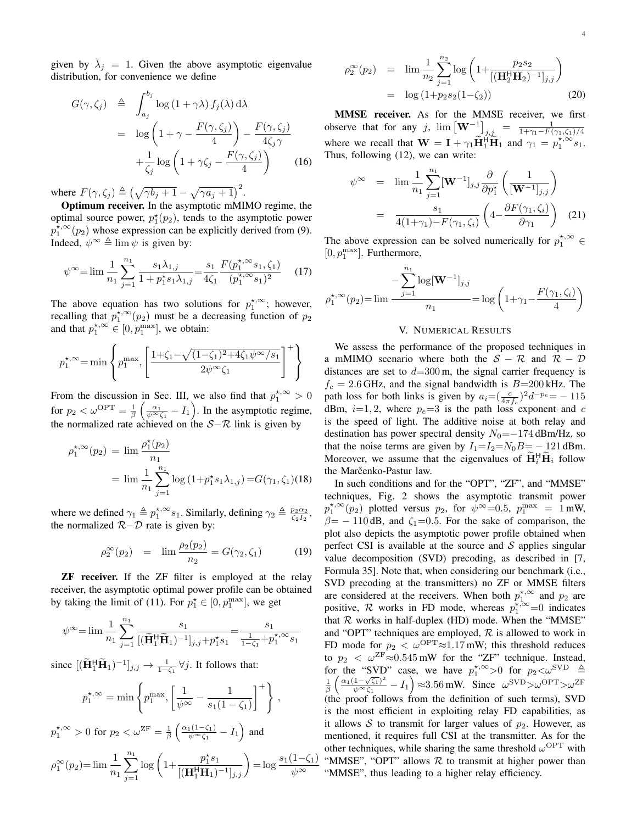given by  $\bar{\lambda}_j = 1$ . Given the above asymptotic eigenvalue distribution, for convenience we define

$$
G(\gamma, \zeta_j) \triangleq \int_{a_j}^{b_j} \log (1 + \gamma \lambda) f_j(\lambda) d\lambda
$$
  
= 
$$
\log \left( 1 + \gamma - \frac{F(\gamma, \zeta_j)}{4} \right) - \frac{F(\gamma, \zeta_j)}{4\zeta_j \gamma}
$$
  
+ 
$$
\frac{1}{\zeta_j} \log \left( 1 + \gamma \zeta_j - \frac{F(\gamma, \zeta_j)}{4} \right) \qquad (16)
$$

where  $F(\gamma, \zeta_j) \triangleq (\sqrt{\gamma b_j + 1} - \sqrt{\gamma a_j + 1})^2$ .

Optimum receiver. In the asymptotic mMIMO regime, the optimal source power,  $p_1^*(p_2)$ , tends to the asymptotic power  $p_1^{\lambda, \infty}(p_2)$  whose expression can be explicitly derived from (9). Indeed,  $\psi^{\infty} \triangleq \lim \psi$  is given by:

$$
\psi^{\infty} = \lim \frac{1}{n_1} \sum_{j=1}^{n_1} \frac{s_1 \lambda_{1,j}}{1 + p_1^* s_1 \lambda_{1,j}} = \frac{s_1}{4\zeta_1} \frac{F(p_1^{*,\infty} s_1, \zeta_1)}{(p_1^{*,\infty} s_1)^2}
$$
(17)

The above equation has two solutions for  $p_1^{*,\infty}$ ; however, recalling that  $p_1^{*,\infty}(p_2)$  must be a decreasing function of  $p_2$ and that  $p_1^{\star,\infty} \in [0, p_1^{\max}]$ , we obtain:

$$
p_1^{\star,\infty} = \min\left\{ p_1^{\max}, \left[ \frac{1 + \zeta_1 - \sqrt{(1 - \zeta_1)^2 + 4\zeta_1 \psi^{\infty}/s_1}}{2\psi^{\infty}\zeta_1} \right]^+ \right\}
$$

From the discussion in Sec. III, we also find that  $p_1^{*,\infty} > 0$ for  $p_2 < \omega^{\text{OPT}} = \frac{1}{\beta} \left( \frac{\alpha_1}{\psi^{\infty} \zeta_1} - I_1 \right)$ . In the asymptotic regime, the normalized rate achieved on the  $S-\mathcal{R}$  link is given by

$$
\rho_1^{\star,\infty}(p_2) = \lim \frac{\rho_1^{\star}(p_2)}{n_1}
$$
  
= 
$$
\lim \frac{1}{n_1} \sum_{j=1}^{n_1} \log (1 + p_1^{\star} s_1 \lambda_{1,j}) = G(\gamma_1, \zeta_1)(18)
$$

where we defined  $\gamma_1 \triangleq p_1^{*,\infty} s_1$ . Similarly, defining  $\gamma_2 \triangleq \frac{p_2 \alpha_2}{\zeta_2 I_2}$ , the normalized  $R-D$  rate is given by:

$$
\rho_2^{\infty}(p_2) = \lim \frac{\rho_2(p_2)}{n_2} = G(\gamma_2, \zeta_1) \tag{19}
$$

ZF receiver. If the ZF filter is employed at the relay receiver, the asymptotic optimal power profile can be obtained by taking the limit of (11). For  $p_1^* \in [0, p_1^{\max}]$ , we get

$$
\psi^{\infty}\!=\!\lim\frac{1}{n_1}\sum_{j=1}^{n_1}\frac{s_1}{[(\widetilde{\mathbf{H}}_1^{\mathsf{H}}\widetilde{\mathbf{H}}_1)^{-1}]_{j,j}\!+\!p_1^{\star}s_1}\!=\!\frac{s_1}{\frac{1}{1-\zeta_1}+p_1^{\star,\infty}s_1}
$$

since  $[(\widetilde{\mathbf{H}}_1^{\mathsf{H}} \widetilde{\mathbf{H}}_1)^{-1}]_{j,j} \to \frac{1}{1-\zeta_1} \forall j$ . It follows that:

$$
p_1^{\star,\infty} = \min\left\{p_1^{\max}, \left[\frac{1}{\psi^{\infty}} - \frac{1}{s_1(1-\zeta_1)}\right]^{+}\right\},\,
$$
  

$$
p_1^{\star,\infty} > 0 \text{ for } p_2 < \omega^{\text{ZF}} = \frac{1}{\beta} \left(\frac{\alpha_1(1-\zeta_1)}{\psi^{\infty}\zeta_1} - I_1\right) \text{ and}
$$

$$
\rho_1^{\infty}(p_2) = \lim_{n_1} \frac{1}{n_1} \sum_{j=1}^{n_1} \log \left( 1 + \frac{p_1^{\star} s_1}{[(\mathbf{H}_1^{\mathsf{H}} \mathbf{H}_1)^{-1}]_{j,j}} \right) = \log \frac{s_1(1-\zeta_1)}{\psi^{\infty}}
$$

$$
\rho_2^{\infty}(p_2) = \lim_{n_2} \frac{1}{n_2} \sum_{j=1}^{n_2} \log \left( 1 + \frac{p_2 s_2}{\left[ (\mathbf{H}_2^{\mathsf{H}} \mathbf{H}_2)^{-1} \right]_{j,j}} \right)
$$
  
=  $\log \left( 1 + p_2 s_2 (1 - \zeta_2) \right)$  (20)

MMSE receiver. As for the MMSE receiver, we first observe that for any j,  $\lim_{j \to j} \left[ \mathbf{W}^{-1} \right]_{j,j} = \frac{1}{1 + \gamma_1 - F(\gamma_1, \zeta_1)/4}$ where we recall that  $\mathbf{W} = \mathbf{I} + \gamma_1 \widetilde{\mathbf{H}}_1^{\text{H}} \widetilde{\mathbf{H}}_1$  and  $\gamma_1 = p_1^{\star,\infty} s_1$ . Thus, following (12), we can write:

$$
\psi^{\infty} = \lim_{n_1} \frac{1}{n_1} \sum_{j=1}^{n_1} [\mathbf{W}^{-1}]_{j,j} \frac{\partial}{\partial p_1^*} \left( \frac{1}{[\mathbf{W}^{-1}]_{j,j}} \right)
$$

$$
= \frac{s_1}{4(1+\gamma_1) - F(\gamma_1, \zeta_i)} \left( 4 - \frac{\partial F(\gamma_1, \zeta_i)}{\partial \gamma_1} \right) (21)
$$

The above expression can be solved numerically for  $p_1^{*,\infty} \in$  $[0, p_1^{\max}]$ . Furthermore,

$$
\rho_1^{\star,\infty}(p_2) = \lim \frac{-\sum_{j=1}^{n_1} \log[\mathbf{W}^{-1}]_{j,j}}{n_1} = \log\left(1 + \gamma_1 - \frac{F(\gamma_1, \zeta_i)}{4}\right)
$$

# V. NUMERICAL RESULTS

We assess the performance of the proposed techniques in a mMIMO scenario where both the  $S - R$  and  $R - D$ distances are set to  $d=300$  m, the signal carrier frequency is  $f_c = 2.6$  GHz, and the signal bandwidth is  $B=200$  kHz. The path loss for both links is given by  $a_i = (\frac{c}{4\pi f_c})^2 d^{-p_e} = -115$ dBm,  $i=1, 2$ , where  $p_e=3$  is the path loss exponent and c is the speed of light. The additive noise at both relay and destination has power spectral density  $N_0 = -174$  dBm/Hz, so that the noise terms are given by  $I_1 = I_2 = N_0 B = -121$  dBm. Moreover, we assume that the eigenvalues of  $\mathbf{H}_{i}^{\text{H}}\mathbf{H}_{i}$  follow the Marčenko-Pastur law.

In such conditions and for the "OPT", "ZF", and "MMSE" techniques, Fig. 2 shows the asymptotic transmit power  $p_1^{\star,\infty}(p_2)$  plotted versus  $p_2$ , for  $\psi^{\infty}=0.5$ ,  $p_1^{\max} = 1$  mW,  $\beta$ = - 110 dB, and  $\zeta$ <sub>1</sub>=0.5. For the sake of comparison, the plot also depicts the asymptotic power profile obtained when perfect CSI is available at the source and  $S$  applies singular value decomposition (SVD) precoding, as described in [7, Formula 35]. Note that, when considering our benchmark (i.e., SVD precoding at the transmitters) no ZF or MMSE filters are considered at the receivers. When both  $p_1^{*,\infty}$  and  $p_2$  are positive,  $\mathcal R$  works in FD mode, whereas  $p_1^{\star,\infty}=0$  indicates that  $R$  works in half-duplex (HD) mode. When the "MMSE" and "OPT" techniques are employed,  $R$  is allowed to work in FD mode for  $p_2 < \omega^{\text{OPT}} \approx 1.17 \text{ mW}$ ; this threshold reduces to  $p_2 < \omega^{\text{ZF}} \approx 0.545 \,\text{mW}$  for the "ZF" technique. Instead, for the "SVD" case, we have  $p_1^{*,\infty} > 0$  for  $p_2 < \omega^{\text{SVD}} \triangleq \frac{1}{\beta} \left( \frac{\alpha_1 (1 - \sqrt{\zeta_1})^2}{\psi^\infty \zeta_1} - I_1 \right) \approx 3.56 \text{ mW}$ . Since  $\omega^{\text{SVD}} > \omega^{\text{OPT}} > \omega^{\text{ZF}}$  $\frac{1-\sqrt{\zeta_1}^2}{\psi \infty \zeta_1} - I_1$   $\approx 3.56$  mW. Since  $\omega^{\text{SVD}} > \omega^{\text{OPT}} > \omega^{\text{ZF}}$ (the proof follows from the definition of such terms), SVD is the most efficient in exploiting relay FD capabilities, as it allows  $S$  to transmit for larger values of  $p_2$ . However, as mentioned, it requires full CSI at the transmitter. As for the other techniques, while sharing the same threshold  $\omega^{\text{OPT}}$  with "MMSE", "OPT" allows  $R$  to transmit at higher power than "MMSE", thus leading to a higher relay efficiency.